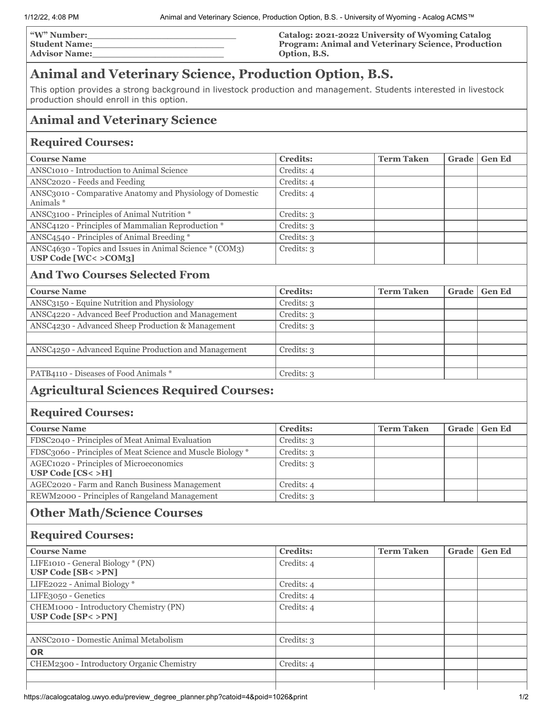| <b>W"</b> Number:    | Catalog: 2021-2022 University of Wyoming Catalog   |
|----------------------|----------------------------------------------------|
| Student Name:        | Program: Animal and Veterinary Science, Production |
| <b>Advisor Name:</b> | Option, B.S.                                       |

# **Animal and Veterinary Science, Production Option, B.S.**

This option provides a strong background in livestock production and management. Students interested in livestock production should enroll in this option.

# **Animal and Veterinary Science**

#### **Required Courses:**

| <b>Course Name</b>                                                                 | <b>Credits:</b> | <b>Term Taken</b> | Grade   Gen Ed |
|------------------------------------------------------------------------------------|-----------------|-------------------|----------------|
| ANSC <sub>1010</sub> - Introduction to Animal Science                              | Credits: 4      |                   |                |
| ANSC <sub>2020</sub> - Feeds and Feeding                                           | Credits: 4      |                   |                |
| ANSC3010 - Comparative Anatomy and Physiology of Domestic<br>Animals *             | Credits: 4      |                   |                |
| ANSC3100 - Principles of Animal Nutrition *                                        | Credits: 3      |                   |                |
| ANSC4120 - Principles of Mammalian Reproduction *                                  | Credits: 3      |                   |                |
| ANSC4540 - Principles of Animal Breeding *                                         | Credits: 3      |                   |                |
| ANSC4630 - Topics and Issues in Animal Science * (COM3)<br>USP Code $[WC < >COM3]$ | Credits: 3      |                   |                |
|                                                                                    |                 |                   |                |

### **And Two Courses Selected From**

| <b>Course Name</b>                                   | <b>Credits:</b> | <b>Term Taken</b> | Grade   Gen Ed |
|------------------------------------------------------|-----------------|-------------------|----------------|
| ANSC3150 - Equine Nutrition and Physiology           | Credits: 3      |                   |                |
| ANSC4220 - Advanced Beef Production and Management   | Credits: 3      |                   |                |
| ANSC4230 - Advanced Sheep Production & Management    | Credits: 3      |                   |                |
|                                                      |                 |                   |                |
| ANSC4250 - Advanced Equine Production and Management | Credits: 3      |                   |                |
|                                                      |                 |                   |                |
| PATB4110 - Diseases of Food Animals *                | Credits: 3      |                   |                |
|                                                      |                 |                   |                |

# **Agricultural Sciences Required Courses:**

#### **Required Courses:**

| <b>Course Name</b>                                              | <b>Credits:</b> | <b>Term Taken</b> | Grade   Gen Ed |
|-----------------------------------------------------------------|-----------------|-------------------|----------------|
| FDSC2040 - Principles of Meat Animal Evaluation                 | Credits: 3      |                   |                |
| FDSC3060 - Principles of Meat Science and Muscle Biology *      | Credits: 3      |                   |                |
| AGEC1020 - Principles of Microeconomics<br>USP Code $[CS < >H]$ | Credits: 3      |                   |                |
| AGEC2020 - Farm and Ranch Business Management                   | Credits: 4      |                   |                |
| REWM2000 - Principles of Rangeland Management                   | Credits: 3      |                   |                |

# **Other Math/Science Courses**

#### **Required Courses:**

| <b>Course Name</b>                                                   | <b>Credits:</b> | <b>Term Taken</b> | Grade | <b>Gen Ed</b> |
|----------------------------------------------------------------------|-----------------|-------------------|-------|---------------|
| LIFE1010 - General Biology * (PN)<br><b>USP Code [SB&lt; &gt;PN]</b> | Credits: 4      |                   |       |               |
| LIFE2022 - Animal Biology *                                          | Credits: 4      |                   |       |               |
| LIFE3050 - Genetics                                                  | Credits: 4      |                   |       |               |
| CHEM1000 - Introductory Chemistry (PN)<br>USP Code $[SP < >PN]$      | Credits: 4      |                   |       |               |
| ANSC <sub>2010</sub> - Domestic Animal Metabolism                    | Credits: 3      |                   |       |               |
| <b>OR</b>                                                            |                 |                   |       |               |
| CHEM2300 - Introductory Organic Chemistry                            | Credits: 4      |                   |       |               |
|                                                                      |                 |                   |       |               |